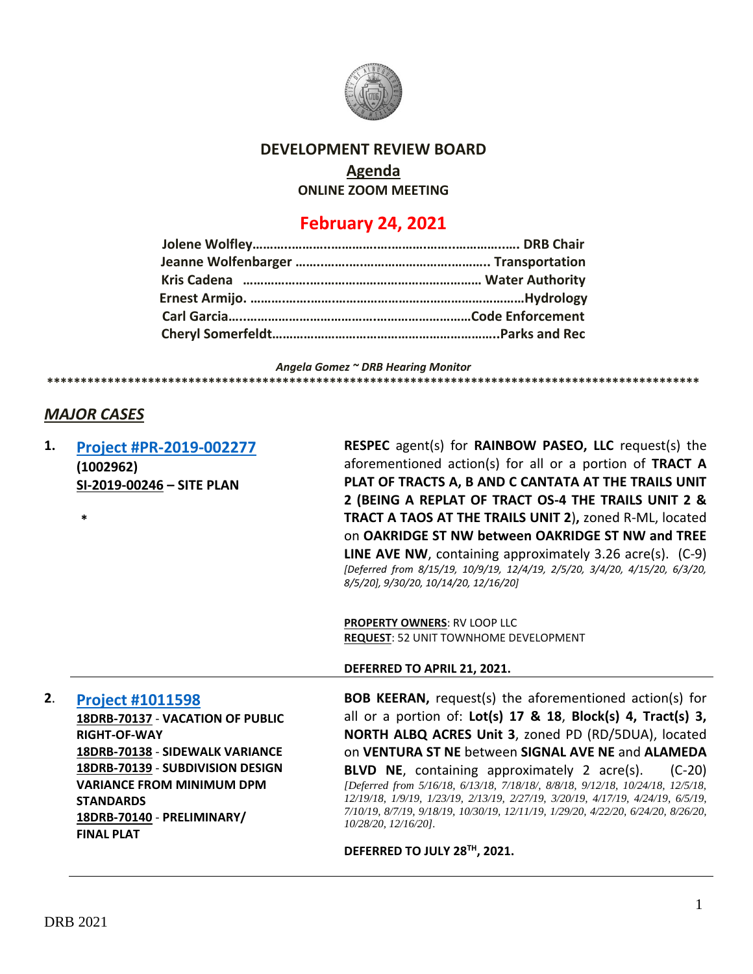

### **DEVELOPMENT REVIEW BOARD**

## **Agenda**

**ONLINE ZOOM MEETING**

# **February 24, 2021**

*Angela Gomez ~ DRB Hearing Monitor* **\*\*\*\*\*\*\*\*\*\*\*\*\*\*\*\*\*\*\*\*\*\*\*\*\*\*\*\*\*\*\*\*\*\*\*\*\*\*\*\*\*\*\*\*\*\*\*\*\*\*\*\*\*\*\*\*\*\*\*\*\*\*\*\*\*\*\*\*\*\*\*\*\*\*\*\*\*\*\*\*\*\*\*\*\*\*\*\*\*\*\*\*\*\*\*\*\***

### *MAJOR CASES*

| 1. | Project #PR-2019-002277<br>(1002962)<br>SI-2019-00246 - SITE PLAN<br>$\ast$                                                                                                                                                                                          | RESPEC agent(s) for RAINBOW PASEO, LLC request(s) the<br>aforementioned action(s) for all or a portion of TRACT A<br>PLAT OF TRACTS A, B AND C CANTATA AT THE TRAILS UNIT<br>2 (BEING A REPLAT OF TRACT OS-4 THE TRAILS UNIT 2 &<br>TRACT A TAOS AT THE TRAILS UNIT 2), zoned R-ML, located<br>on OAKRIDGE ST NW between OAKRIDGE ST NW and TREE<br><b>LINE AVE NW</b> , containing approximately 3.26 $\arccos 0$ . (C-9)<br>[Deferred from 8/15/19, 10/9/19, 12/4/19, 2/5/20, 3/4/20, 4/15/20, 6/3/20,<br>8/5/20], 9/30/20, 10/14/20, 12/16/20]                                                        |
|----|----------------------------------------------------------------------------------------------------------------------------------------------------------------------------------------------------------------------------------------------------------------------|----------------------------------------------------------------------------------------------------------------------------------------------------------------------------------------------------------------------------------------------------------------------------------------------------------------------------------------------------------------------------------------------------------------------------------------------------------------------------------------------------------------------------------------------------------------------------------------------------------|
|    |                                                                                                                                                                                                                                                                      | PROPERTY OWNERS: RV LOOP LLC<br><b>REQUEST: 52 UNIT TOWNHOME DEVELOPMENT</b><br>DEFERRED TO APRIL 21, 2021.                                                                                                                                                                                                                                                                                                                                                                                                                                                                                              |
| 2. | <b>Project #1011598</b><br>18DRB-70137 - VACATION OF PUBLIC<br><b>RIGHT-OF-WAY</b><br>18DRB-70138 - SIDEWALK VARIANCE<br>18DRB-70139 - SUBDIVISION DESIGN<br><b>VARIANCE FROM MINIMUM DPM</b><br><b>STANDARDS</b><br>18DRB-70140 - PRELIMINARY/<br><b>FINAL PLAT</b> | <b>BOB KEERAN, request(s) the aforementioned action(s) for</b><br>all or a portion of: $Lot(s)$ 17 & 18, $Block(s)$ 4, $Tract(s)$ 3,<br>NORTH ALBQ ACRES Unit 3, zoned PD (RD/5DUA), located<br>on VENTURA ST NE between SIGNAL AVE NE and ALAMEDA<br><b>BLVD NE</b> , containing approximately 2 acre(s).<br>$(C-20)$<br>[Deferred from 5/16/18, 6/13/18, 7/18/18/, 8/8/18, 9/12/18, 10/24/18, 12/5/18,<br>12/19/18, 1/9/19, 1/23/19, 2/13/19, 2/27/19, 3/20/19, 4/17/19, 4/24/19, 6/5/19,<br>7/10/19, 8/7/19, 9/18/19, 10/30/19, 12/11/19, 1/29/20, 4/22/20, 6/24/20, 8/26/20,<br>10/28/20, 12/16/201. |
|    |                                                                                                                                                                                                                                                                      | DEFERRED TO JULY 28TH, 2021.                                                                                                                                                                                                                                                                                                                                                                                                                                                                                                                                                                             |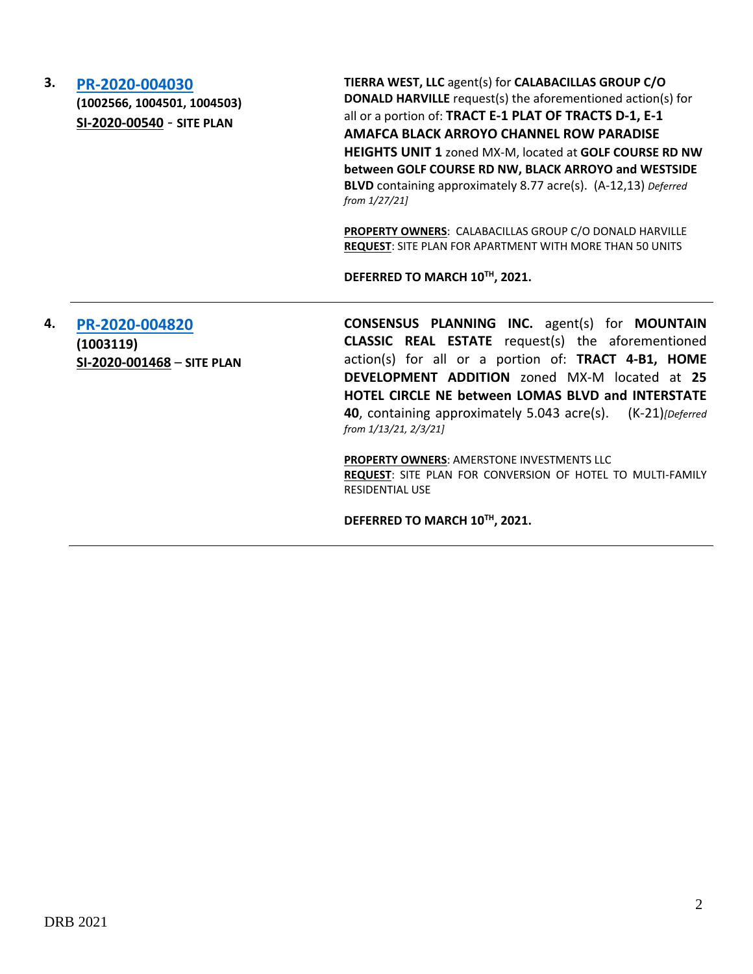**3. [PR-2020-004030](http://data.cabq.gov/government/planning/DRB/PR-2020-004030/DRB%20SUBMITTALS/) (1002566, 1004501, 1004503) SI-2020-00540** - **SITE PLAN**

**TIERRA WEST, LLC** agent(s) for **CALABACILLAS GROUP C/O DONALD HARVILLE** request(s) the aforementioned action(s) for all or a portion of: **TRACT E-1 PLAT OF TRACTS D-1, E-1 AMAFCA BLACK ARROYO CHANNEL ROW PARADISE HEIGHTS UNIT 1** zoned MX-M, located at **GOLF COURSE RD NW between GOLF COURSE RD NW, BLACK ARROYO and WESTSIDE BLVD** containing approximately 8.77 acre(s). (A-12,13) *Deferred from 1/27/21]*

**PROPERTY OWNERS**: CALABACILLAS GROUP C/O DONALD HARVILLE **REQUEST**: SITE PLAN FOR APARTMENT WITH MORE THAN 50 UNITS

**DEFERRED TO MARCH 10TH, 2021.**

**4. [PR-2020-004820](http://data.cabq.gov/government/planning/DRB/PR-2020-004820/DRB%20Submittals/) (1003119) SI-2020-001468** – **SITE PLAN**

**CONSENSUS PLANNING INC.** agent(s) for **MOUNTAIN CLASSIC REAL ESTATE** request(s) the aforementioned action(s) for all or a portion of: **TRACT 4-B1, HOME DEVELOPMENT ADDITION** zoned MX-M located at **25 HOTEL CIRCLE NE between LOMAS BLVD and INTERSTATE 40**, containing approximately 5.043 acre(s). (K-21)*[Deferred from 1/13/21, 2/3/21]*

**PROPERTY OWNERS**: AMERSTONE INVESTMENTS LLC **REQUEST**: SITE PLAN FOR CONVERSION OF HOTEL TO MULTI-FAMILY RESIDENTIAL USE

**DEFERRED TO MARCH 10TH, 2021.**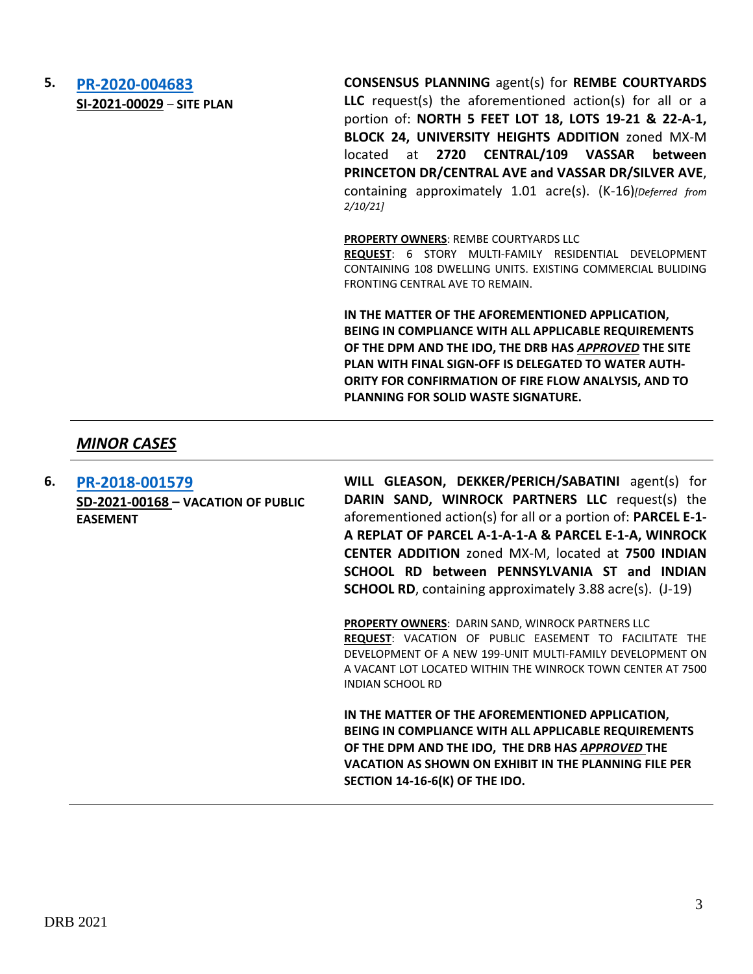### **5. [PR-2020-004683](http://data.cabq.gov/government/planning/DRB/PR-2020-004683/DRB%20Submittals/) SI-2021-00029** – **SITE PLAN**

**CONSENSUS PLANNING** agent(s) for **REMBE COURTYARDS LLC** request(s) the aforementioned action(s) for all or a portion of: **NORTH 5 FEET LOT 18, LOTS 19-21 & 22-A-1, BLOCK 24, UNIVERSITY HEIGHTS ADDITION** zoned MX-M located at **2720 CENTRAL/109 VASSAR between PRINCETON DR/CENTRAL AVE and VASSAR DR/SILVER AVE**, containing approximately 1.01 acre(s). (K-16)*[Deferred from 2/10/21]*

**PROPERTY OWNERS**: REMBE COURTYARDS LLC

**REQUEST**: 6 STORY MULTI-FAMILY RESIDENTIAL DEVELOPMENT CONTAINING 108 DWELLING UNITS. EXISTING COMMERCIAL BULIDING FRONTING CENTRAL AVE TO REMAIN.

**IN THE MATTER OF THE AFOREMENTIONED APPLICATION, BEING IN COMPLIANCE WITH ALL APPLICABLE REQUIREMENTS OF THE DPM AND THE IDO, THE DRB HAS** *APPROVED* **THE SITE PLAN WITH FINAL SIGN-OFF IS DELEGATED TO WATER AUTH-ORITY FOR CONFIRMATION OF FIRE FLOW ANALYSIS, AND TO PLANNING FOR SOLID WASTE SIGNATURE.**

#### *MINOR CASES*

**6. [PR-2018-001579](http://data.cabq.gov/government/planning/DRB/PR-2018-001579/DRB%20Submittals/PR-2018-001579_Feb_24_2021/Application/DRB%20VPE%20DEKKER-PERISH-SABATINI%20PR-2018-001579%20SD-2021-00168%20signed%20copy.pdf) SD-2021-00168 – VACATION OF PUBLIC EASEMENT**

**WILL GLEASON, DEKKER/PERICH/SABATINI** agent(s) for **DARIN SAND, WINROCK PARTNERS LLC** request(s) the aforementioned action(s) for all or a portion of: **PARCEL E-1- A REPLAT OF PARCEL A-1-A-1-A & PARCEL E-1-A, WINROCK CENTER ADDITION** zoned MX-M, located at **7500 INDIAN SCHOOL RD between PENNSYLVANIA ST and INDIAN SCHOOL RD**, containing approximately 3.88 acre(s). (J-19)

**PROPERTY OWNERS**: DARIN SAND, WINROCK PARTNERS LLC **REQUEST**: VACATION OF PUBLIC EASEMENT TO FACILITATE THE DEVELOPMENT OF A NEW 199-UNIT MULTI-FAMILY DEVELOPMENT ON A VACANT LOT LOCATED WITHIN THE WINROCK TOWN CENTER AT 7500 INDIAN SCHOOL RD

**IN THE MATTER OF THE AFOREMENTIONED APPLICATION, BEING IN COMPLIANCE WITH ALL APPLICABLE REQUIREMENTS OF THE DPM AND THE IDO, THE DRB HAS** *APPROVED* **THE VACATION AS SHOWN ON EXHIBIT IN THE PLANNING FILE PER SECTION 14-16-6(K) OF THE IDO.**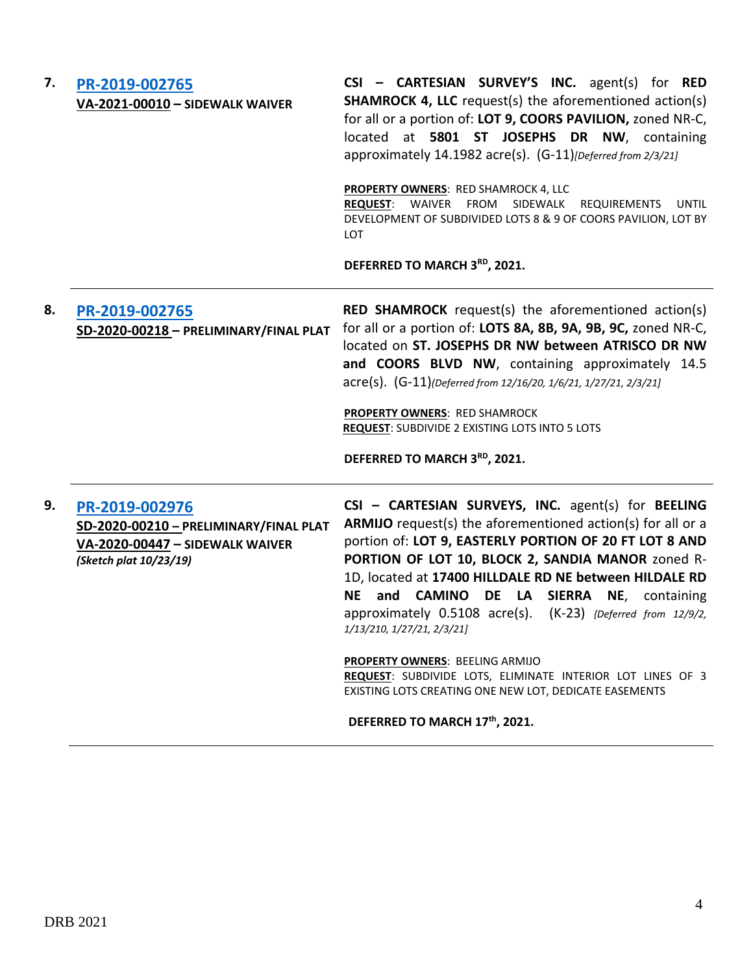| 7. | PR-2019-002765<br>VA-2021-00010 - SIDEWALK WAIVER                                                                     | CSI - CARTESIAN SURVEY'S INC. agent(s) for RED<br><b>SHAMROCK 4, LLC</b> request(s) the aforementioned action(s)<br>for all or a portion of: LOT 9, COORS PAVILION, zoned NR-C,<br>located at 5801 ST JOSEPHS DR NW, containing<br>approximately 14.1982 acre(s). (G-11)[Deferred from 2/3/21]                                                                                                                                       |
|----|-----------------------------------------------------------------------------------------------------------------------|--------------------------------------------------------------------------------------------------------------------------------------------------------------------------------------------------------------------------------------------------------------------------------------------------------------------------------------------------------------------------------------------------------------------------------------|
|    |                                                                                                                       | <b>PROPERTY OWNERS: RED SHAMROCK 4, LLC</b><br><b>FROM</b><br>SIDEWALK<br><b>REQUEST:</b><br>WAIVER<br><b>REQUIREMENTS</b><br><b>UNTIL</b><br>DEVELOPMENT OF SUBDIVIDED LOTS 8 & 9 OF COORS PAVILION, LOT BY<br>LOT                                                                                                                                                                                                                  |
|    |                                                                                                                       | DEFERRED TO MARCH 3RD, 2021.                                                                                                                                                                                                                                                                                                                                                                                                         |
| 8. | PR-2019-002765<br>SD-2020-00218 - PRELIMINARY/FINAL PLAT                                                              | <b>RED SHAMROCK</b> request(s) the aforementioned action(s)<br>for all or a portion of: LOTS 8A, 8B, 9A, 9B, 9C, zoned NR-C,<br>located on ST. JOSEPHS DR NW between ATRISCO DR NW<br>and COORS BLVD NW, containing approximately 14.5<br>acre(s). (G-11)(Deferred from 12/16/20, 1/6/21, 1/27/21, 2/3/21]                                                                                                                           |
|    |                                                                                                                       | PROPERTY OWNERS: RED SHAMROCK<br>REQUEST: SUBDIVIDE 2 EXISTING LOTS INTO 5 LOTS                                                                                                                                                                                                                                                                                                                                                      |
|    |                                                                                                                       | DEFERRED TO MARCH 3RD, 2021.                                                                                                                                                                                                                                                                                                                                                                                                         |
| 9. | PR-2019-002976<br>SD-2020-00210 - PRELIMINARY/FINAL PLAT<br>VA-2020-00447 - SIDEWALK WAIVER<br>(Sketch plat 10/23/19) | CSI - CARTESIAN SURVEYS, INC. agent(s) for BEELING<br>ARMIJO request(s) the aforementioned action(s) for all or a<br>portion of: LOT 9, EASTERLY PORTION OF 20 FT LOT 8 AND<br>PORTION OF LOT 10, BLOCK 2, SANDIA MANOR zoned R-<br>1D, located at 17400 HILLDALE RD NE between HILDALE RD<br>NE and CAMINO DE LA SIERRA NE, containing<br>approximately 0.5108 acre(s). (K-23) {Deferred from 12/9/2,<br>1/13/210, 1/27/21, 2/3/21] |
|    |                                                                                                                       | <b>PROPERTY OWNERS: BEELING ARMIJO</b><br>REQUEST: SUBDIVIDE LOTS, ELIMINATE INTERIOR LOT LINES OF 3<br>EXISTING LOTS CREATING ONE NEW LOT, DEDICATE EASEMENTS                                                                                                                                                                                                                                                                       |
|    |                                                                                                                       | DEFERRED TO MARCH 17th, 2021.                                                                                                                                                                                                                                                                                                                                                                                                        |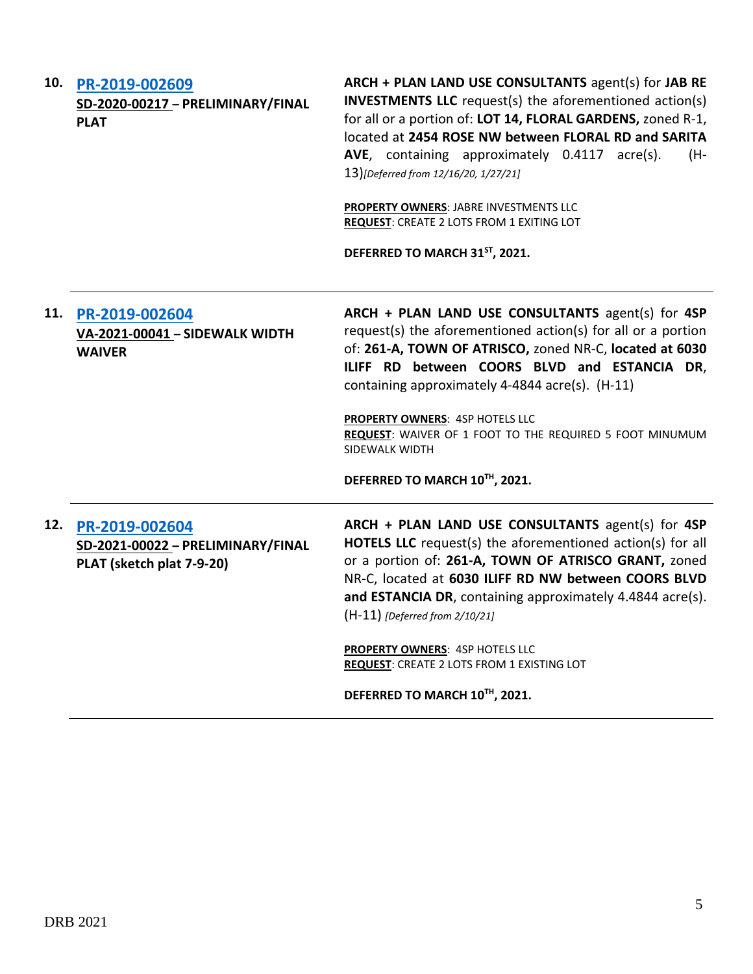| 10. | PR-2019-002609<br>SD-2020-00217 - PRELIMINARY/FINAL<br><b>PLAT</b>               | ARCH + PLAN LAND USE CONSULTANTS agent(s) for JAB RE<br><b>INVESTMENTS LLC</b> request(s) the aforementioned action(s)<br>for all or a portion of: LOT 14, FLORAL GARDENS, zoned R-1,<br>located at 2454 ROSE NW between FLORAL RD and SARITA<br>AVE, containing approximately 0.4117 acre(s).<br>(H-<br>13)[Deferred from 12/16/20, 1/27/21]<br>PROPERTY OWNERS: JABRE INVESTMENTS LLC<br>REQUEST: CREATE 2 LOTS FROM 1 EXITING LOT<br>DEFERRED TO MARCH 31ST, 2021. |
|-----|----------------------------------------------------------------------------------|-----------------------------------------------------------------------------------------------------------------------------------------------------------------------------------------------------------------------------------------------------------------------------------------------------------------------------------------------------------------------------------------------------------------------------------------------------------------------|
| 11. | PR-2019-002604<br>VA-2021-00041 - SIDEWALK WIDTH<br><b>WAIVER</b>                | ARCH + PLAN LAND USE CONSULTANTS agent(s) for 4SP<br>request(s) the aforementioned action(s) for all or a portion<br>of: 261-A, TOWN OF ATRISCO, zoned NR-C, located at 6030<br>ILIFF RD between COORS BLVD and ESTANCIA DR,<br>containing approximately 4-4844 acre(s). (H-11)<br>PROPERTY OWNERS: 4SP HOTELS LLC<br>REQUEST: WAIVER OF 1 FOOT TO THE REQUIRED 5 FOOT MINUMUM<br>SIDEWALK WIDTH<br>DEFERRED TO MARCH 10TH, 2021.                                     |
| 12. | PR-2019-002604<br>SD-2021-00022 - PRELIMINARY/FINAL<br>PLAT (sketch plat 7-9-20) | ARCH + PLAN LAND USE CONSULTANTS agent(s) for 4SP<br>HOTELS LLC request(s) the aforementioned action(s) for all<br>or a portion of: 261-A, TOWN OF ATRISCO GRANT, zoned<br>NR-C, located at 6030 ILIFF RD NW between COORS BLVD<br>and ESTANCIA DR, containing approximately 4.4844 acre(s).<br>(H-11) [Deferred from 2/10/21]<br>PROPERTY OWNERS: 4SP HOTELS LLC<br>REQUEST: CREATE 2 LOTS FROM 1 EXISTING LOT                                                       |
|     |                                                                                  | DEFERRED TO MARCH 10TH, 2021.                                                                                                                                                                                                                                                                                                                                                                                                                                         |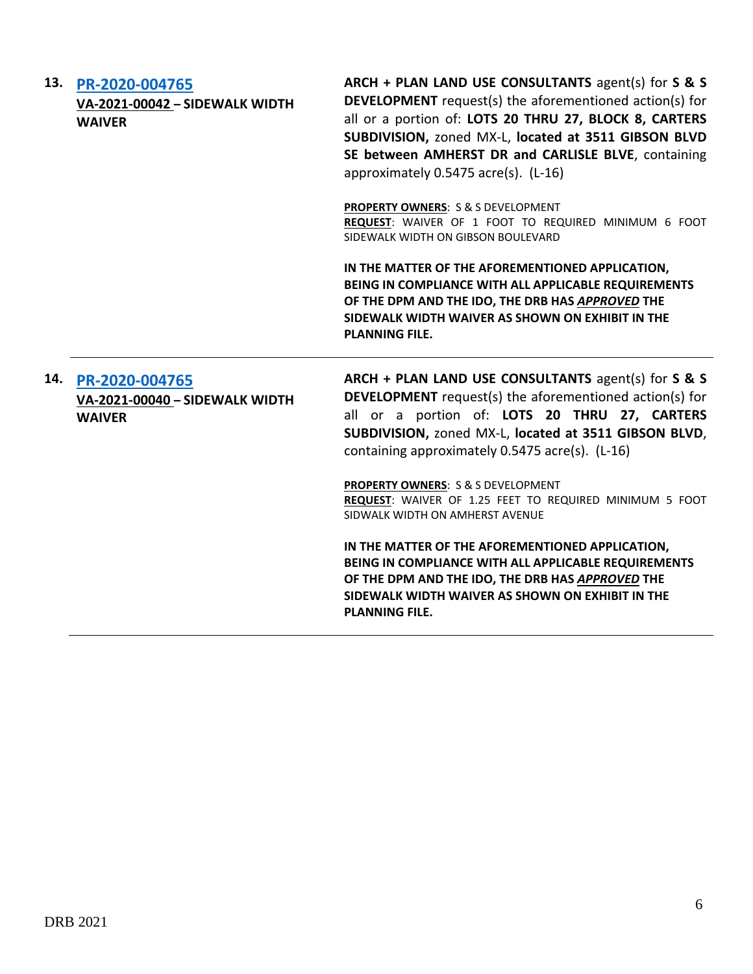| 13. | PR-2020-004765<br>VA-2021-00042 - SIDEWALK WIDTH<br><b>WAIVER</b> | ARCH + PLAN LAND USE CONSULTANTS agent(s) for S & S<br><b>DEVELOPMENT</b> request(s) the aforementioned action(s) for<br>all or a portion of: LOTS 20 THRU 27, BLOCK 8, CARTERS<br>SUBDIVISION, zoned MX-L, located at 3511 GIBSON BLVD<br>SE between AMHERST DR and CARLISLE BLVE, containing<br>approximately $0.5475$ acre(s). (L-16) |
|-----|-------------------------------------------------------------------|------------------------------------------------------------------------------------------------------------------------------------------------------------------------------------------------------------------------------------------------------------------------------------------------------------------------------------------|
|     |                                                                   | <b>PROPERTY OWNERS: S &amp; S DEVELOPMENT</b><br>REQUEST: WAIVER OF 1 FOOT TO REQUIRED MINIMUM 6 FOOT<br>SIDEWALK WIDTH ON GIBSON BOULEVARD                                                                                                                                                                                              |
|     |                                                                   | IN THE MATTER OF THE AFOREMENTIONED APPLICATION,<br>BEING IN COMPLIANCE WITH ALL APPLICABLE REQUIREMENTS<br>OF THE DPM AND THE IDO, THE DRB HAS APPROVED THE<br>SIDEWALK WIDTH WAIVER AS SHOWN ON EXHIBIT IN THE<br><b>PLANNING FILE.</b>                                                                                                |
| 14. | PR-2020-004765<br>VA-2021-00040 - SIDEWALK WIDTH<br><b>WAIVER</b> | ARCH + PLAN LAND USE CONSULTANTS agent(s) for S & S<br><b>DEVELOPMENT</b> request(s) the aforementioned action(s) for<br>all or a portion of: LOTS 20 THRU 27, CARTERS<br>SUBDIVISION, zoned MX-L, located at 3511 GIBSON BLVD,<br>containing approximately 0.5475 acre(s). (L-16)                                                       |
|     |                                                                   | <b>PROPERTY OWNERS: S &amp; S DEVELOPMENT</b><br>REQUEST: WAIVER OF 1.25 FEET TO REQUIRED MINIMUM 5 FOOT<br>SIDWALK WIDTH ON AMHERST AVENUE                                                                                                                                                                                              |
|     |                                                                   | IN THE MATTER OF THE AFOREMENTIONED APPLICATION,<br>BEING IN COMPLIANCE WITH ALL APPLICABLE REQUIREMENTS<br>OF THE DPM AND THE IDO, THE DRB HAS APPROVED THE<br>SIDEWALK WIDTH WAIVER AS SHOWN ON EXHIBIT IN THE<br><b>PLANNING FILE.</b>                                                                                                |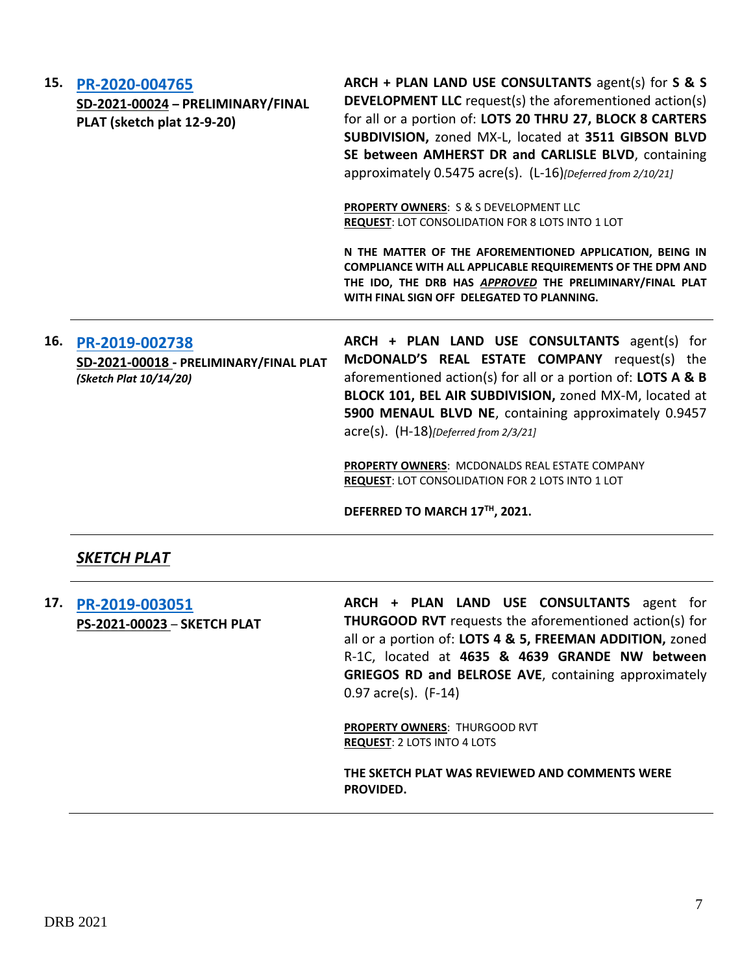| 15. | PR-2020-004765<br>SD-2021-00024 - PRELIMINARY/FINAL<br>PLAT (sketch plat 12-9-20)  | ARCH + PLAN LAND USE CONSULTANTS agent(s) for S & S<br><b>DEVELOPMENT LLC</b> request(s) the aforementioned action(s)<br>for all or a portion of: LOTS 20 THRU 27, BLOCK 8 CARTERS<br>SUBDIVISION, zoned MX-L, located at 3511 GIBSON BLVD<br>SE between AMHERST DR and CARLISLE BLVD, containing<br>approximately 0.5475 acre(s). (L-16)[Deferred from 2/10/21] |
|-----|------------------------------------------------------------------------------------|------------------------------------------------------------------------------------------------------------------------------------------------------------------------------------------------------------------------------------------------------------------------------------------------------------------------------------------------------------------|
|     |                                                                                    | PROPERTY OWNERS: S & S DEVELOPMENT LLC<br>REQUEST: LOT CONSOLIDATION FOR 8 LOTS INTO 1 LOT                                                                                                                                                                                                                                                                       |
|     |                                                                                    | N THE MATTER OF THE AFOREMENTIONED APPLICATION, BEING IN<br>COMPLIANCE WITH ALL APPLICABLE REQUIREMENTS OF THE DPM AND<br>THE IDO, THE DRB HAS APPROVED THE PRELIMINARY/FINAL PLAT<br>WITH FINAL SIGN OFF DELEGATED TO PLANNING.                                                                                                                                 |
| 16. | PR-2019-002738<br>SD-2021-00018 - PRELIMINARY/FINAL PLAT<br>(Sketch Plat 10/14/20) | ARCH + PLAN LAND USE CONSULTANTS agent(s) for<br>McDONALD'S REAL ESTATE COMPANY request(s) the<br>aforementioned action(s) for all or a portion of: LOTS A & B<br>BLOCK 101, BEL AIR SUBDIVISION, zoned MX-M, located at<br>5900 MENAUL BLVD NE, containing approximately 0.9457<br>$\text{acre}(s)$ . $(H-18)$ [Deferred from 2/3/21]                           |
|     |                                                                                    | PROPERTY OWNERS: MCDONALDS REAL ESTATE COMPANY<br><b>REQUEST: LOT CONSOLIDATION FOR 2 LOTS INTO 1 LOT</b>                                                                                                                                                                                                                                                        |
|     |                                                                                    | DEFERRED TO MARCH 17TH, 2021.                                                                                                                                                                                                                                                                                                                                    |
|     | <b>SKETCH PLAT</b>                                                                 |                                                                                                                                                                                                                                                                                                                                                                  |
| 17. | PR-2019-003051<br>PS-2021-00023 - SKETCH PLAT                                      | ARCH + PLAN LAND USE CONSULTANTS agent for<br><b>THURGOOD RVT</b> requests the aforementioned action(s) for                                                                                                                                                                                                                                                      |

**THURGOOD RVT** requests the aforementioned action(s) for all or a portion of: **LOTS 4 & 5, FREEMAN ADDITION,** zoned R-1C, located at **4635 & 4639 GRANDE NW between GRIEGOS RD and BELROSE AVE**, containing approximately 0.97 acre(s). (F-14)

**PROPERTY OWNERS**: THURGOOD RVT **REQUEST**: 2 LOTS INTO 4 LOTS

**THE SKETCH PLAT WAS REVIEWED AND COMMENTS WERE PROVIDED.**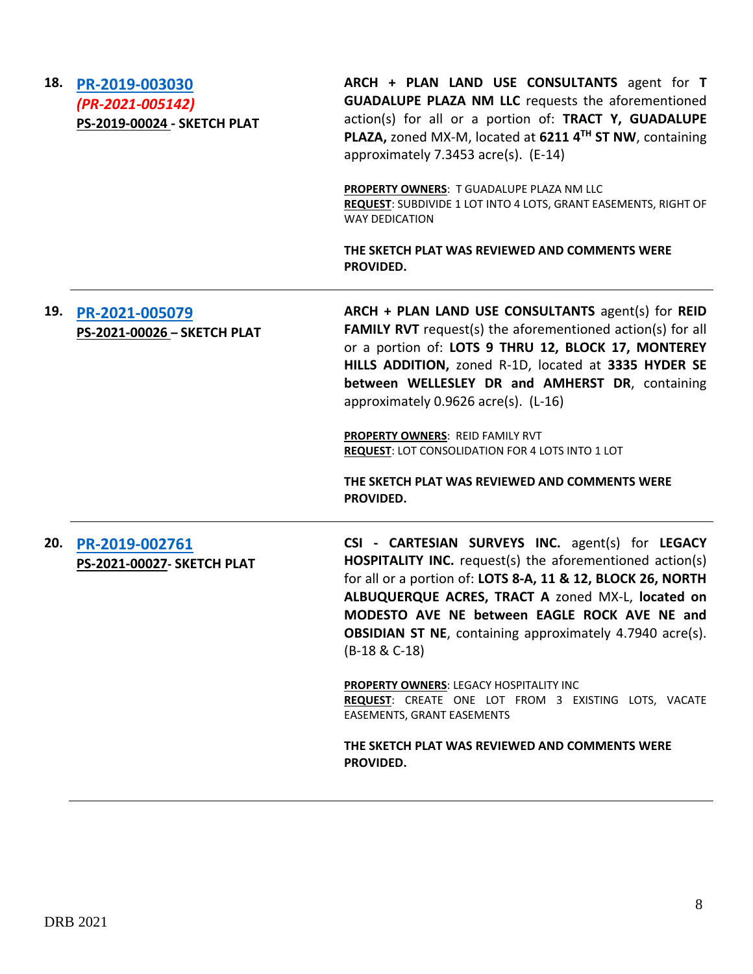| 18. | PR-2019-003030<br>(PR-2021-005142)<br>PS-2019-00024 - SKETCH PLAT | ARCH + PLAN LAND USE CONSULTANTS agent for T<br><b>GUADALUPE PLAZA NM LLC</b> requests the aforementioned<br>action(s) for all or a portion of: TRACT Y, GUADALUPE<br>PLAZA, zoned MX-M, located at 6211 4TH ST NW, containing<br>approximately 7.3453 acre(s). (E-14)                                                                                               |
|-----|-------------------------------------------------------------------|----------------------------------------------------------------------------------------------------------------------------------------------------------------------------------------------------------------------------------------------------------------------------------------------------------------------------------------------------------------------|
|     |                                                                   | PROPERTY OWNERS: T GUADALUPE PLAZA NM LLC<br>REQUEST: SUBDIVIDE 1 LOT INTO 4 LOTS, GRANT EASEMENTS, RIGHT OF<br><b>WAY DEDICATION</b>                                                                                                                                                                                                                                |
|     |                                                                   | THE SKETCH PLAT WAS REVIEWED AND COMMENTS WERE<br>PROVIDED.                                                                                                                                                                                                                                                                                                          |
| 19. | PR-2021-005079<br>PS-2021-00026 - SKETCH PLAT                     | ARCH + PLAN LAND USE CONSULTANTS agent(s) for REID<br><b>FAMILY RVT</b> request(s) the aforementioned action(s) for all<br>or a portion of: LOTS 9 THRU 12, BLOCK 17, MONTEREY<br>HILLS ADDITION, zoned R-1D, located at 3335 HYDER SE<br>between WELLESLEY DR and AMHERST DR, containing<br>approximately 0.9626 acre(s). (L-16)                                    |
|     |                                                                   | PROPERTY OWNERS: REID FAMILY RVT<br>REQUEST: LOT CONSOLIDATION FOR 4 LOTS INTO 1 LOT                                                                                                                                                                                                                                                                                 |
|     |                                                                   | THE SKETCH PLAT WAS REVIEWED AND COMMENTS WERE<br>PROVIDED.                                                                                                                                                                                                                                                                                                          |
| 20. | PR-2019-002761<br><b>PS-2021-00027- SKETCH PLAT</b>               | CSI - CARTESIAN SURVEYS INC. agent(s) for LEGACY<br>HOSPITALITY INC. request(s) the aforementioned action(s)<br>for all or a portion of: LOTS 8-A, 11 & 12, BLOCK 26, NORTH<br>ALBUQUERQUE ACRES, TRACT A zoned MX-L, located on<br>MODESTO AVE NE between EAGLE ROCK AVE NE and<br><b>OBSIDIAN ST NE, containing approximately 4.7940 acre(s).</b><br>(B-18 & C-18) |
|     |                                                                   | PROPERTY OWNERS: LEGACY HOSPITALITY INC<br>REQUEST: CREATE ONE LOT FROM 3 EXISTING LOTS, VACATE<br>EASEMENTS, GRANT EASEMENTS                                                                                                                                                                                                                                        |
|     |                                                                   | THE SKETCH PLAT WAS REVIEWED AND COMMENTS WERE<br>PROVIDED.                                                                                                                                                                                                                                                                                                          |